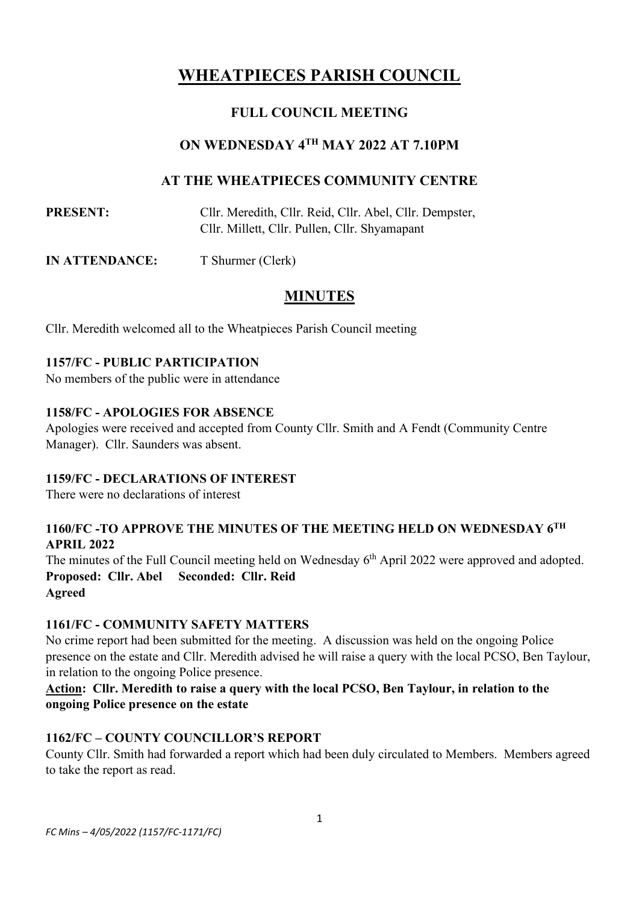# **WHEATPIECES PARISH COUNCIL**

### **FULL COUNCIL MEETING**

### **ON WEDNESDAY 4 TH MAY 2022 AT 7.10PM**

### **AT THE WHEATPIECES COMMUNITY CENTRE**

**PRESENT:** Cllr. Meredith, Cllr. Reid, Cllr. Abel, Cllr. Dempster, Cllr. Millett, Cllr. Pullen, Cllr. Shyamapant

**IN ATTENDANCE:** T Shurmer (Clerk)

## **MINUTES**

Cllr. Meredith welcomed all to the Wheatpieces Parish Council meeting

#### **1157/FC - PUBLIC PARTICIPATION**

No members of the public were in attendance

#### **1158/FC - APOLOGIES FOR ABSENCE**

Apologies were received and accepted from County Cllr. Smith and A Fendt (Community Centre Manager). Cllr. Saunders was absent.

#### **1159/FC - DECLARATIONS OF INTEREST**

There were no declarations of interest

### **1160/FC -TO APPROVE THE MINUTES OF THE MEETING HELD ON WEDNESDAY 6 TH APRIL 2022**

The minutes of the Full Council meeting held on Wednesday 6<sup>th</sup> April 2022 were approved and adopted. **Proposed: Cllr. Abel Seconded: Cllr. Reid Agreed**

#### **1161/FC - COMMUNITY SAFETY MATTERS**

No crime report had been submitted for the meeting. A discussion was held on the ongoing Police presence on the estate and Cllr. Meredith advised he will raise a query with the local PCSO, Ben Taylour, in relation to the ongoing Police presence.

### **Action: Cllr. Meredith to raise a query with the local PCSO, Ben Taylour, in relation to the ongoing Police presence on the estate**

### **1162/FC – COUNTY COUNCILLOR'S REPORT**

County Cllr. Smith had forwarded a report which had been duly circulated to Members. Members agreed to take the report as read.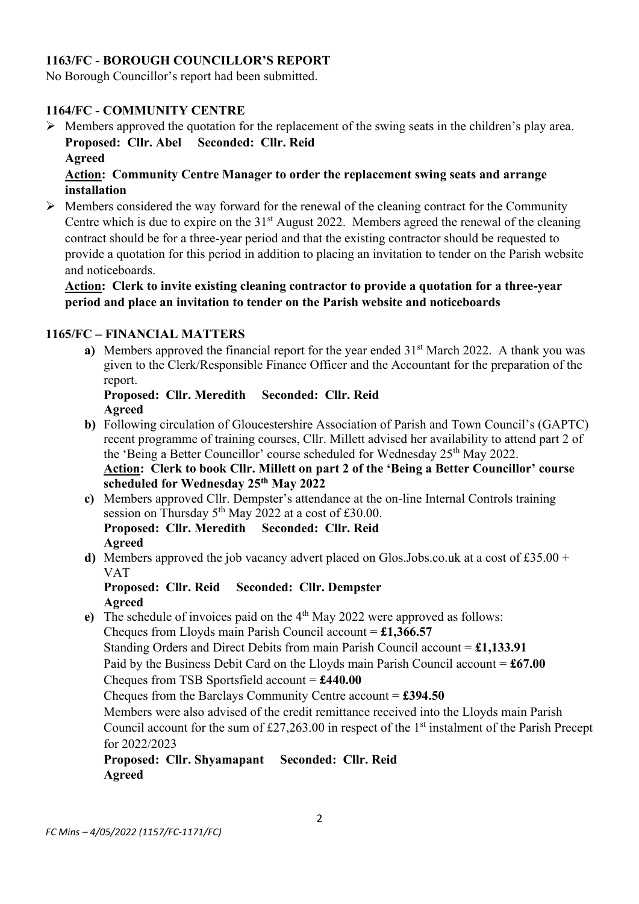### **1163/FC - BOROUGH COUNCILLOR'S REPORT**

No Borough Councillor's report had been submitted.

#### **1164/FC - COMMUNITY CENTRE**

➢ Members approved the quotation for the replacement of the swing seats in the children's play area. **Proposed: Cllr. Abel Seconded: Cllr. Reid Agreed**

#### **Action: Community Centre Manager to order the replacement swing seats and arrange installation**

 $\triangleright$  Members considered the way forward for the renewal of the cleaning contract for the Community Centre which is due to expire on the 31<sup>st</sup> August 2022. Members agreed the renewal of the cleaning contract should be for a three-year period and that the existing contractor should be requested to provide a quotation for this period in addition to placing an invitation to tender on the Parish website and noticeboards.

#### **Action: Clerk to invite existing cleaning contractor to provide a quotation for a three-year period and place an invitation to tender on the Parish website and noticeboards**

#### **1165/FC – FINANCIAL MATTERS**

**a**) Members approved the financial report for the year ended 31<sup>st</sup> March 2022. A thank you was given to the Clerk/Responsible Finance Officer and the Accountant for the preparation of the report.

#### **Proposed: Cllr. Meredith Seconded: Cllr. Reid Agreed**

- **b)** Following circulation of Gloucestershire Association of Parish and Town Council's (GAPTC) recent programme of training courses, Cllr. Millett advised her availability to attend part 2 of the 'Being a Better Councillor' course scheduled for Wednesday 25<sup>th</sup> May 2022. **Action: Clerk to book Cllr. Millett on part 2 of the 'Being a Better Councillor' course scheduled for Wednesday 25th May 2022**
- **c)** Members approved Cllr. Dempster's attendance at the on-line Internal Controls training session on Thursday  $5<sup>th</sup>$  May 2022 at a cost of £30.00. **Proposed: Cllr. Meredith Seconded: Cllr. Reid Agreed**
- **d**) Members approved the job vacancy advert placed on Glos.Jobs.co.uk at a cost of  $£35.00 +$ VAT

#### **Proposed: Cllr. Reid Seconded: Cllr. Dempster Agreed**

e) The schedule of invoices paid on the 4<sup>th</sup> May 2022 were approved as follows: Cheques from Lloyds main Parish Council account = **£1,366.57** Standing Orders and Direct Debits from main Parish Council account = **£1,133.91** Paid by the Business Debit Card on the Lloyds main Parish Council account = **£67.00** Cheques from TSB Sportsfield account = **£440.00** Cheques from the Barclays Community Centre account = **£394.50** Members were also advised of the credit remittance received into the Lloyds main Parish Council account for the sum of £27,263.00 in respect of the  $1<sup>st</sup>$  instalment of the Parish Precept for 2022/2023 **Proposed: Cllr. Shyamapant Seconded: Cllr. Reid**

**Agreed**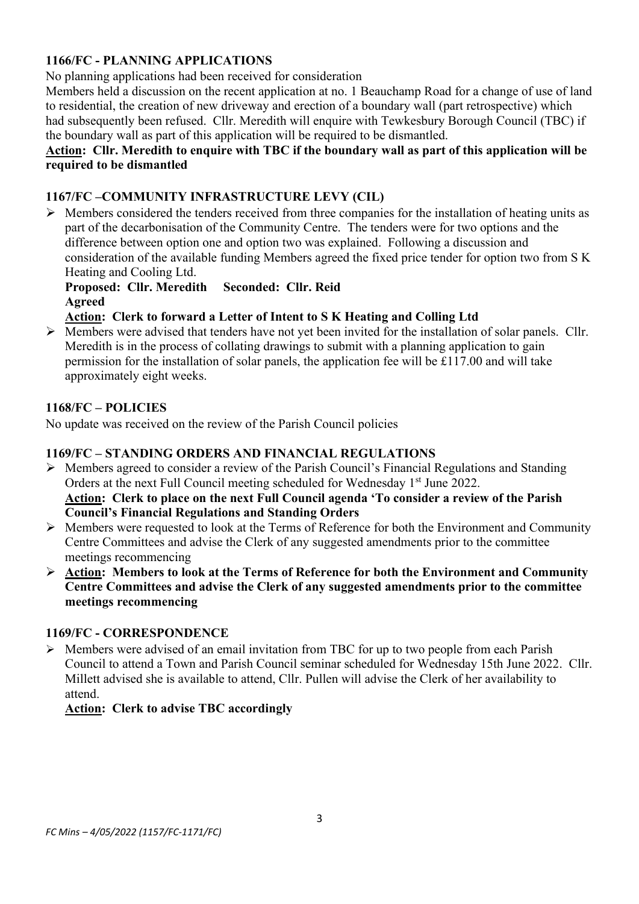### **1166/FC - PLANNING APPLICATIONS**

No planning applications had been received for consideration

Members held a discussion on the recent application at no. 1 Beauchamp Road for a change of use of land to residential, the creation of new driveway and erection of a boundary wall (part retrospective) which had subsequently been refused. Cllr. Meredith will enquire with Tewkesbury Borough Council (TBC) if the boundary wall as part of this application will be required to be dismantled.

#### **Action: Cllr. Meredith to enquire with TBC if the boundary wall as part of this application will be required to be dismantled**

### **1167/FC –COMMUNITY INFRASTRUCTURE LEVY (CIL)**

 $\triangleright$  Members considered the tenders received from three companies for the installation of heating units as part of the decarbonisation of the Community Centre. The tenders were for two options and the difference between option one and option two was explained. Following a discussion and consideration of the available funding Members agreed the fixed price tender for option two from S K Heating and Cooling Ltd.

### **Proposed: Cllr. Meredith Seconded: Cllr. Reid Agreed**

### **Action: Clerk to forward a Letter of Intent to S K Heating and Colling Ltd**

➢ Members were advised that tenders have not yet been invited for the installation of solar panels. Cllr. Meredith is in the process of collating drawings to submit with a planning application to gain permission for the installation of solar panels, the application fee will be £117.00 and will take approximately eight weeks.

### **1168/FC – POLICIES**

No update was received on the review of the Parish Council policies

### **1169/FC – STANDING ORDERS AND FINANCIAL REGULATIONS**

- ➢ Members agreed to consider a review of the Parish Council's Financial Regulations and Standing Orders at the next Full Council meeting scheduled for Wednesday 1<sup>st</sup> June 2022. **Action: Clerk to place on the next Full Council agenda 'To consider a review of the Parish Council's Financial Regulations and Standing Orders**
- ➢ Members were requested to look at the Terms of Reference for both the Environment and Community Centre Committees and advise the Clerk of any suggested amendments prior to the committee meetings recommencing
- ➢ **Action: Members to look at the Terms of Reference for both the Environment and Community Centre Committees and advise the Clerk of any suggested amendments prior to the committee meetings recommencing**

### **1169/FC - CORRESPONDENCE**

➢ Members were advised of an email invitation from TBC for up to two people from each Parish Council to attend a Town and Parish Council seminar scheduled for Wednesday 15th June 2022. Cllr. Millett advised she is available to attend, Cllr. Pullen will advise the Clerk of her availability to attend.

### **Action: Clerk to advise TBC accordingly**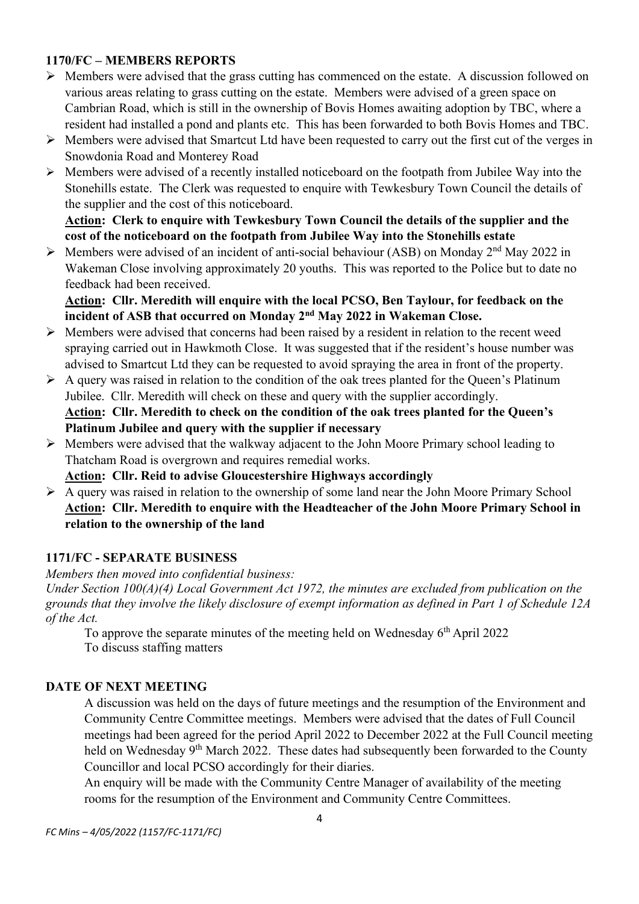### **1170/FC – MEMBERS REPORTS**

- ➢ Members were advised that the grass cutting has commenced on the estate. A discussion followed on various areas relating to grass cutting on the estate. Members were advised of a green space on Cambrian Road, which is still in the ownership of Bovis Homes awaiting adoption by TBC, where a resident had installed a pond and plants etc. This has been forwarded to both Bovis Homes and TBC.
- ➢ Members were advised that Smartcut Ltd have been requested to carry out the first cut of the verges in Snowdonia Road and Monterey Road
- ➢ Members were advised of a recently installed noticeboard on the footpath from Jubilee Way into the Stonehills estate. The Clerk was requested to enquire with Tewkesbury Town Council the details of the supplier and the cost of this noticeboard.

**Action: Clerk to enquire with Tewkesbury Town Council the details of the supplier and the cost of the noticeboard on the footpath from Jubilee Way into the Stonehills estate**

 $\triangleright$  Members were advised of an incident of anti-social behaviour (ASB) on Monday 2<sup>nd</sup> May 2022 in Wakeman Close involving approximately 20 youths. This was reported to the Police but to date no feedback had been received.

**Action: Cllr. Meredith will enquire with the local PCSO, Ben Taylour, for feedback on the incident of ASB that occurred on Monday 2nd May 2022 in Wakeman Close.**

- ➢ Members were advised that concerns had been raised by a resident in relation to the recent weed spraying carried out in Hawkmoth Close. It was suggested that if the resident's house number was advised to Smartcut Ltd they can be requested to avoid spraying the area in front of the property.
- $\triangleright$  A query was raised in relation to the condition of the oak trees planted for the Queen's Platinum Jubilee. Cllr. Meredith will check on these and query with the supplier accordingly. **Action: Cllr. Meredith to check on the condition of the oak trees planted for the Queen's Platinum Jubilee and query with the supplier if necessary**
- ➢ Members were advised that the walkway adjacent to the John Moore Primary school leading to Thatcham Road is overgrown and requires remedial works.
	- **Action: Cllr. Reid to advise Gloucestershire Highways accordingly**
- ➢ A query was raised in relation to the ownership of some land near the John Moore Primary School **Action: Cllr. Meredith to enquire with the Headteacher of the John Moore Primary School in relation to the ownership of the land**

#### **1171/FC - SEPARATE BUSINESS**

*Members then moved into confidential business:*

*Under Section 100(A)(4) Local Government Act 1972, the minutes are excluded from publication on the grounds that they involve the likely disclosure of exempt information as defined in Part 1 of Schedule 12A of the Act.*

To approve the separate minutes of the meeting held on Wednesday  $6<sup>th</sup>$  April 2022 To discuss staffing matters

#### **DATE OF NEXT MEETING**

A discussion was held on the days of future meetings and the resumption of the Environment and Community Centre Committee meetings. Members were advised that the dates of Full Council meetings had been agreed for the period April 2022 to December 2022 at the Full Council meeting held on Wednesday 9<sup>th</sup> March 2022. These dates had subsequently been forwarded to the County Councillor and local PCSO accordingly for their diaries.

An enquiry will be made with the Community Centre Manager of availability of the meeting rooms for the resumption of the Environment and Community Centre Committees.